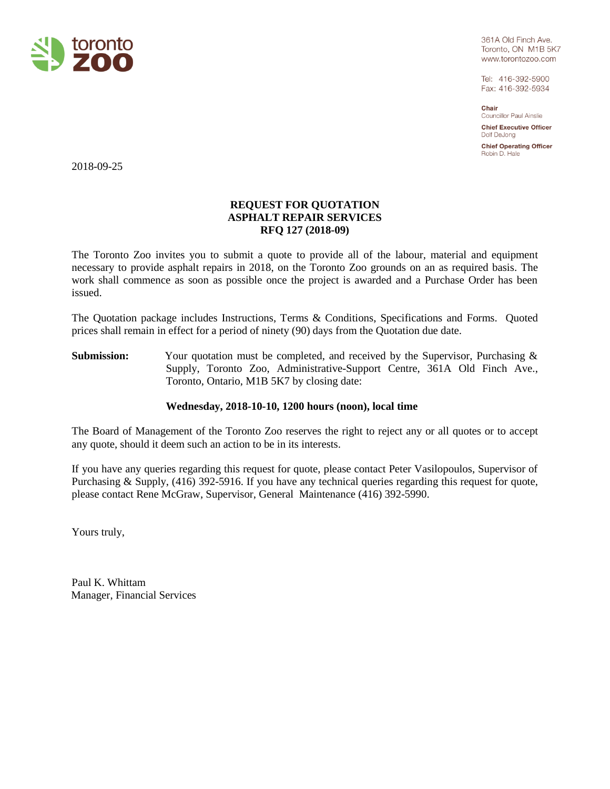

361A Old Finch Ave. Toronto, ON M1B 5K7 www.torontozoo.com

Tel: 416-392-5900 Fax: 416-392-5934

Chair Councillor Paul Ainslie

**Chief Executive Officer** Dolf DeJong

**Chief Operating Officer** Robin D. Hale

2018-09-25

# **REQUEST FOR QUOTATION ASPHALT REPAIR SERVICES RFQ 127 (2018-09)**

The Toronto Zoo invites you to submit a quote to provide all of the labour, material and equipment necessary to provide asphalt repairs in 2018, on the Toronto Zoo grounds on an as required basis. The work shall commence as soon as possible once the project is awarded and a Purchase Order has been issued.

The Quotation package includes Instructions, Terms & Conditions, Specifications and Forms. Quoted prices shall remain in effect for a period of ninety (90) days from the Quotation due date.

Submission: Your quotation must be completed, and received by the Supervisor, Purchasing & Supply, Toronto Zoo, Administrative-Support Centre, 361A Old Finch Ave., Toronto, Ontario, M1B 5K7 by closing date:

# **Wednesday, 2018-10-10, 1200 hours (noon), local time**

The Board of Management of the Toronto Zoo reserves the right to reject any or all quotes or to accept any quote, should it deem such an action to be in its interests.

If you have any queries regarding this request for quote, please contact Peter Vasilopoulos, Supervisor of Purchasing & Supply, (416) 392-5916. If you have any technical queries regarding this request for quote, please contact Rene McGraw, Supervisor, General Maintenance (416) 392-5990.

Yours truly,

Paul K. Whittam Manager, Financial Services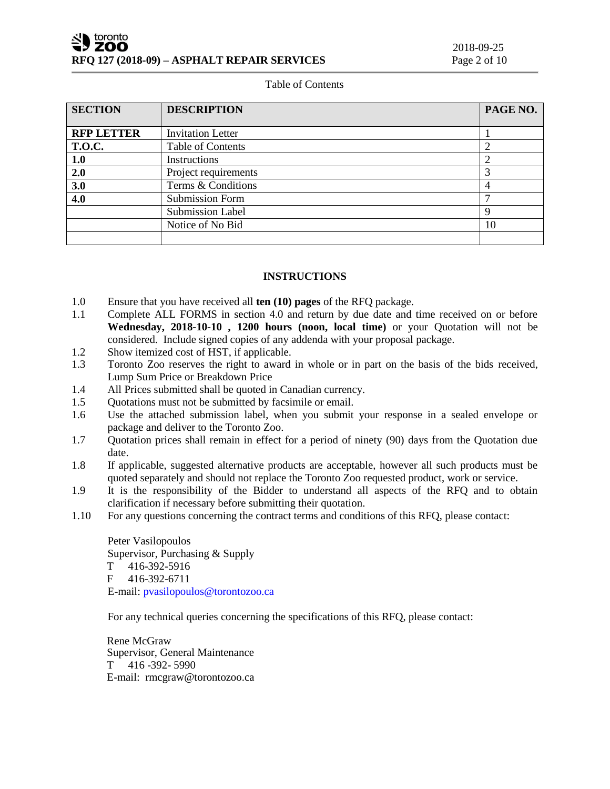#### Table of Contents

| <b>SECTION</b>    | <b>DESCRIPTION</b>       | PAGE NO. |
|-------------------|--------------------------|----------|
|                   |                          |          |
| <b>RFP LETTER</b> | <b>Invitation Letter</b> |          |
| <b>T.O.C.</b>     | <b>Table of Contents</b> |          |
| 1.0               | Instructions             |          |
| 2.0               | Project requirements     |          |
| 3.0               | Terms & Conditions       | 4        |
| 4.0               | <b>Submission Form</b>   | ⇁        |
|                   | <b>Submission Label</b>  | 9        |
|                   | Notice of No Bid         | 10       |
|                   |                          |          |

# **INSTRUCTIONS**

- 1.0 Ensure that you have received all **ten (10) pages** of the RFQ package.
- 1.1 Complete ALL FORMS in section 4.0 and return by due date and time received on or before **Wednesday, 2018-10-10 , 1200 hours (noon, local time)** or your Quotation will not be considered. Include signed copies of any addenda with your proposal package.
- 1.2 Show itemized cost of HST, if applicable.
- 1.3 Toronto Zoo reserves the right to award in whole or in part on the basis of the bids received, Lump Sum Price or Breakdown Price
- 1.4 All Prices submitted shall be quoted in Canadian currency.
- 1.5 Quotations must not be submitted by facsimile or email.
- 1.6 Use the attached submission label, when you submit your response in a sealed envelope or package and deliver to the Toronto Zoo.
- 1.7 Quotation prices shall remain in effect for a period of ninety (90) days from the Quotation due date.
- 1.8 If applicable, suggested alternative products are acceptable, however all such products must be quoted separately and should not replace the Toronto Zoo requested product, work or service.
- 1.9 It is the responsibility of the Bidder to understand all aspects of the RFQ and to obtain clarification if necessary before submitting their quotation.
- 1.10 For any questions concerning the contract terms and conditions of this RFQ, please contact:

Peter Vasilopoulos Supervisor, Purchasing & Supply T 416-392-5916 F 416-392-6711 E-mail[: pvasilopoulos@torontozoo.ca](mailto:pvasilopoulos@torontozoo.ca)

For any technical queries concerning the specifications of this RFQ, please contact:

Rene McGraw Supervisor, General Maintenance T 416 -392- 5990 E-mail: rmcgraw@torontozoo.ca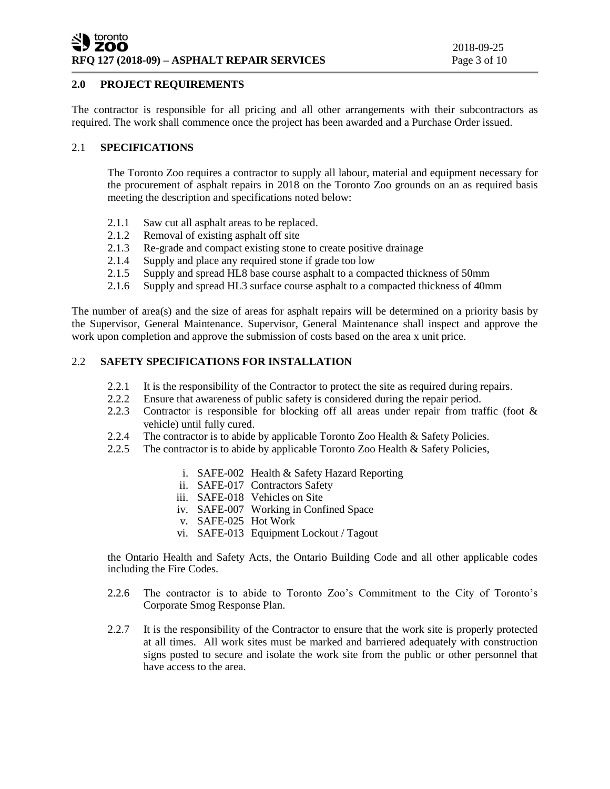# **2.0 PROJECT REQUIREMENTS**

The contractor is responsible for all pricing and all other arrangements with their subcontractors as required. The work shall commence once the project has been awarded and a Purchase Order issued.

#### 2.1 **SPECIFICATIONS**

The Toronto Zoo requires a contractor to supply all labour, material and equipment necessary for the procurement of asphalt repairs in 2018 on the Toronto Zoo grounds on an as required basis meeting the description and specifications noted below:

- 
- 2.1.1 Saw cut all asphalt areas to be replaced.<br>2.1.2 Removal of existing asphalt off site 2.1.2 Removal of existing asphalt off site<br>2.1.3 Re-grade and compact existing stone
- Re-grade and compact existing stone to create positive drainage
- 2.1.4 Supply and place any required stone if grade too low
- 2.1.5 Supply and spread HL8 base course asphalt to a compacted thickness of 50mm
- 2.1.6 Supply and spread HL3 surface course asphalt to a compacted thickness of 40mm

The number of area(s) and the size of areas for asphalt repairs will be determined on a priority basis by the Supervisor, General Maintenance. Supervisor, General Maintenance shall inspect and approve the work upon completion and approve the submission of costs based on the area x unit price.

# 2.2 **SAFETY SPECIFICATIONS FOR INSTALLATION**

- 2.2.1 It is the responsibility of the Contractor to protect the site as required during repairs.
- 2.2.2 Ensure that awareness of public safety is considered during the repair period.
- 2.2.3 Contractor is responsible for blocking off all areas under repair from traffic (foot & vehicle) until fully cured.
- 2.2.4 The contractor is to abide by applicable Toronto Zoo Health & Safety Policies.
- 2.2.5 The contractor is to abide by applicable Toronto Zoo Health & Safety Policies,
	- i. SAFE-002 Health & Safety Hazard Reporting
	- ii. SAFE-017 Contractors Safety
	- iii. SAFE-018 Vehicles on Site
	- iv. SAFE-007 Working in Confined Space
	- v. SAFE-025 Hot Work
	- vi. SAFE-013 Equipment Lockout / Tagout

the Ontario Health and Safety Acts, the Ontario Building Code and all other applicable codes including the Fire Codes.

- 2.2.6 The contractor is to abide to Toronto Zoo's Commitment to the City of Toronto's Corporate Smog Response Plan.
- 2.2.7 It is the responsibility of the Contractor to ensure that the work site is properly protected at all times. All work sites must be marked and barriered adequately with construction signs posted to secure and isolate the work site from the public or other personnel that have access to the area.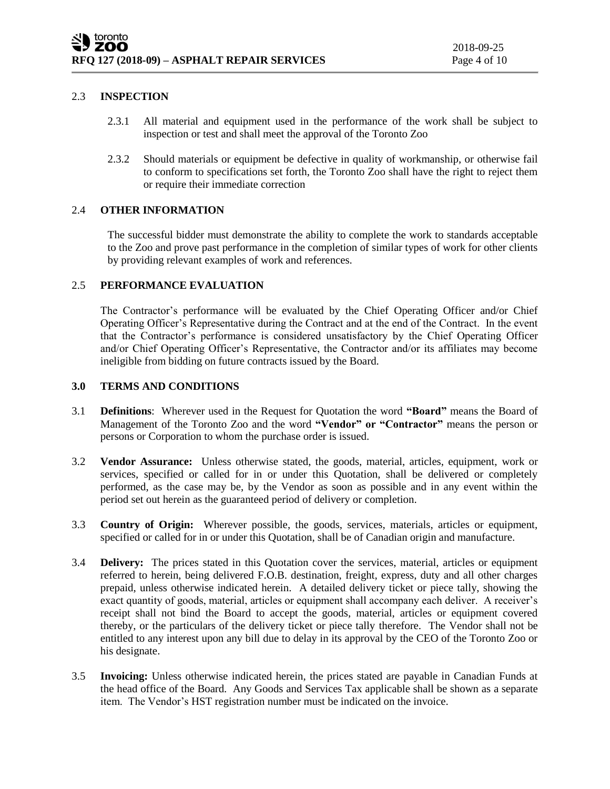# 2.3 **INSPECTION**

- 2.3.1 All material and equipment used in the performance of the work shall be subject to inspection or test and shall meet the approval of the Toronto Zoo
- 2.3.2 Should materials or equipment be defective in quality of workmanship, or otherwise fail to conform to specifications set forth, the Toronto Zoo shall have the right to reject them or require their immediate correction

#### 2.4 **OTHER INFORMATION**

The successful bidder must demonstrate the ability to complete the work to standards acceptable to the Zoo and prove past performance in the completion of similar types of work for other clients by providing relevant examples of work and references.

#### 2.5 **PERFORMANCE EVALUATION**

The Contractor's performance will be evaluated by the Chief Operating Officer and/or Chief Operating Officer's Representative during the Contract and at the end of the Contract. In the event that the Contractor's performance is considered unsatisfactory by the Chief Operating Officer and/or Chief Operating Officer's Representative, the Contractor and/or its affiliates may become ineligible from bidding on future contracts issued by the Board.

#### **3.0 TERMS AND CONDITIONS**

- 3.1 **Definitions**: Wherever used in the Request for Quotation the word **"Board"** means the Board of Management of the Toronto Zoo and the word **"Vendor" or "Contractor"** means the person or persons or Corporation to whom the purchase order is issued.
- 3.2 **Vendor Assurance:** Unless otherwise stated, the goods, material, articles, equipment, work or services, specified or called for in or under this Quotation, shall be delivered or completely performed, as the case may be, by the Vendor as soon as possible and in any event within the period set out herein as the guaranteed period of delivery or completion.
- 3.3 **Country of Origin:** Wherever possible, the goods, services, materials, articles or equipment, specified or called for in or under this Quotation, shall be of Canadian origin and manufacture.
- 3.4 **Delivery:** The prices stated in this Quotation cover the services, material, articles or equipment referred to herein, being delivered F.O.B. destination, freight, express, duty and all other charges prepaid, unless otherwise indicated herein. A detailed delivery ticket or piece tally, showing the exact quantity of goods, material, articles or equipment shall accompany each deliver. A receiver's receipt shall not bind the Board to accept the goods, material, articles or equipment covered thereby, or the particulars of the delivery ticket or piece tally therefore. The Vendor shall not be entitled to any interest upon any bill due to delay in its approval by the CEO of the Toronto Zoo or his designate.
- 3.5 **Invoicing:** Unless otherwise indicated herein, the prices stated are payable in Canadian Funds at the head office of the Board. Any Goods and Services Tax applicable shall be shown as a separate item. The Vendor's HST registration number must be indicated on the invoice.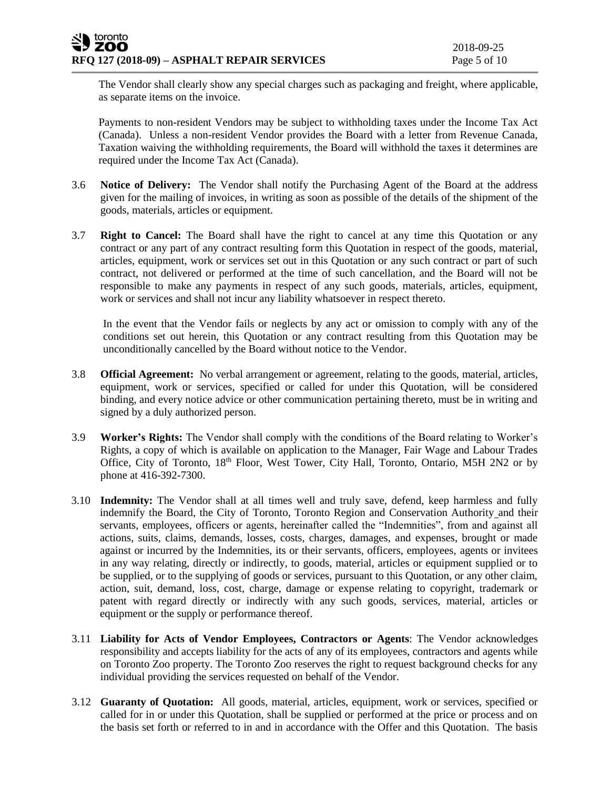The Vendor shall clearly show any special charges such as packaging and freight, where applicable, as separate items on the invoice.

Payments to non-resident Vendors may be subject to withholding taxes under the Income Tax Act (Canada). Unless a non-resident Vendor provides the Board with a letter from Revenue Canada, Taxation waiving the withholding requirements, the Board will withhold the taxes it determines are required under the Income Tax Act (Canada).

- 3.6 **Notice of Delivery:** The Vendor shall notify the Purchasing Agent of the Board at the address given for the mailing of invoices, in writing as soon as possible of the details of the shipment of the goods, materials, articles or equipment.
- 3.7 **Right to Cancel:** The Board shall have the right to cancel at any time this Quotation or any contract or any part of any contract resulting form this Quotation in respect of the goods, material, articles, equipment, work or services set out in this Quotation or any such contract or part of such contract, not delivered or performed at the time of such cancellation, and the Board will not be responsible to make any payments in respect of any such goods, materials, articles, equipment, work or services and shall not incur any liability whatsoever in respect thereto.

In the event that the Vendor fails or neglects by any act or omission to comply with any of the conditions set out herein, this Quotation or any contract resulting from this Quotation may be unconditionally cancelled by the Board without notice to the Vendor.

- 3.8 **Official Agreement:** No verbal arrangement or agreement, relating to the goods, material, articles, equipment, work or services, specified or called for under this Quotation, will be considered binding, and every notice advice or other communication pertaining thereto, must be in writing and signed by a duly authorized person.
- 3.9 **Worker's Rights:** The Vendor shall comply with the conditions of the Board relating to Worker's Rights, a copy of which is available on application to the Manager, Fair Wage and Labour Trades Office, City of Toronto, 18th Floor, West Tower, City Hall, Toronto, Ontario, M5H 2N2 or by phone at 416-392-7300.
- 3.10 **Indemnity:** The Vendor shall at all times well and truly save, defend, keep harmless and fully indemnify the Board, the City of Toronto, Toronto Region and Conservation Authority and their servants, employees, officers or agents, hereinafter called the "Indemnities", from and against all actions, suits, claims, demands, losses, costs, charges, damages, and expenses, brought or made against or incurred by the Indemnities, its or their servants, officers, employees, agents or invitees in any way relating, directly or indirectly, to goods, material, articles or equipment supplied or to be supplied, or to the supplying of goods or services, pursuant to this Quotation, or any other claim, action, suit, demand, loss, cost, charge, damage or expense relating to copyright, trademark or patent with regard directly or indirectly with any such goods, services, material, articles or equipment or the supply or performance thereof.
- 3.11 **Liability for Acts of Vendor Employees, Contractors or Agents**: The Vendor acknowledges responsibility and accepts liability for the acts of any of its employees, contractors and agents while on Toronto Zoo property. The Toronto Zoo reserves the right to request background checks for any individual providing the services requested on behalf of the Vendor.
- 3.12 **Guaranty of Quotation:** All goods, material, articles, equipment, work or services, specified or called for in or under this Quotation, shall be supplied or performed at the price or process and on the basis set forth or referred to in and in accordance with the Offer and this Quotation. The basis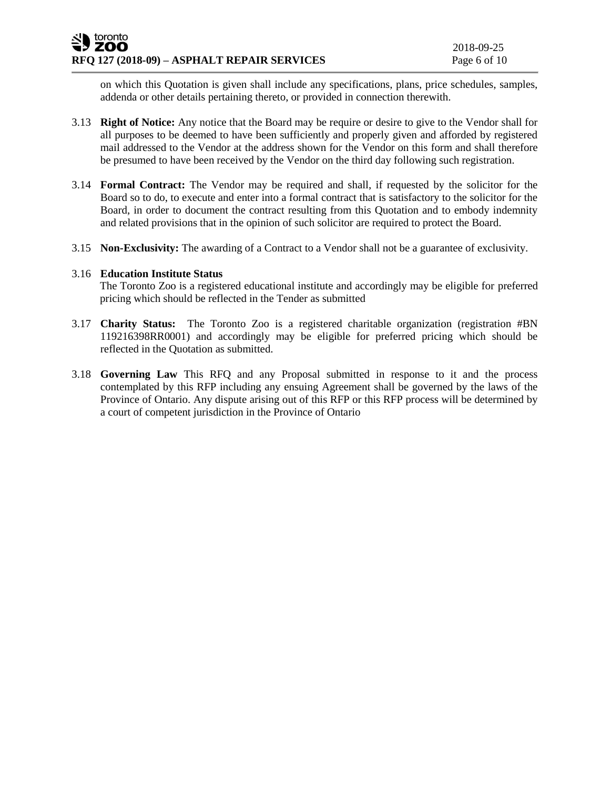on which this Quotation is given shall include any specifications, plans, price schedules, samples, addenda or other details pertaining thereto, or provided in connection therewith.

- 3.13 **Right of Notice:** Any notice that the Board may be require or desire to give to the Vendor shall for all purposes to be deemed to have been sufficiently and properly given and afforded by registered mail addressed to the Vendor at the address shown for the Vendor on this form and shall therefore be presumed to have been received by the Vendor on the third day following such registration.
- 3.14 **Formal Contract:** The Vendor may be required and shall, if requested by the solicitor for the Board so to do, to execute and enter into a formal contract that is satisfactory to the solicitor for the Board, in order to document the contract resulting from this Quotation and to embody indemnity and related provisions that in the opinion of such solicitor are required to protect the Board.
- 3.15 **Non-Exclusivity:** The awarding of a Contract to a Vendor shall not be a guarantee of exclusivity.

#### 3.16 **Education Institute Status**

The Toronto Zoo is a registered educational institute and accordingly may be eligible for preferred pricing which should be reflected in the Tender as submitted

- 3.17 **Charity Status:** The Toronto Zoo is a registered charitable organization (registration #BN 119216398RR0001) and accordingly may be eligible for preferred pricing which should be reflected in the Quotation as submitted.
- 3.18 **Governing Law** This RFQ and any Proposal submitted in response to it and the process contemplated by this RFP including any ensuing Agreement shall be governed by the laws of the Province of Ontario. Any dispute arising out of this RFP or this RFP process will be determined by a court of competent jurisdiction in the Province of Ontario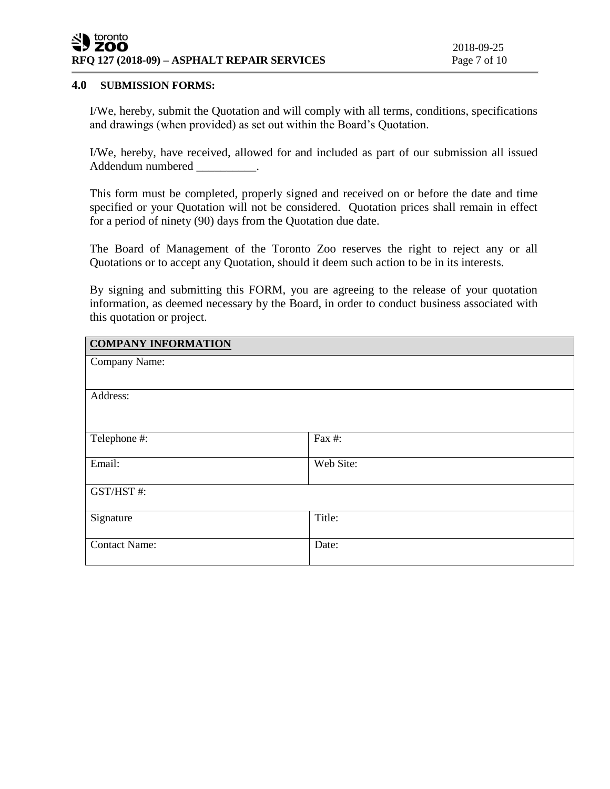# SU toronto **RFQ 127 (2018-09) – ASPHALT REPAIR SERVICES** Page 7 of 10

# **4.0 SUBMISSION FORMS:**

I/We, hereby, submit the Quotation and will comply with all terms, conditions, specifications and drawings (when provided) as set out within the Board's Quotation.

I/We, hereby, have received, allowed for and included as part of our submission all issued Addendum numbered \_\_\_\_\_\_\_\_\_\_.

This form must be completed, properly signed and received on or before the date and time specified or your Quotation will not be considered. Quotation prices shall remain in effect for a period of ninety (90) days from the Quotation due date.

The Board of Management of the Toronto Zoo reserves the right to reject any or all Quotations or to accept any Quotation, should it deem such action to be in its interests.

By signing and submitting this FORM, you are agreeing to the release of your quotation information, as deemed necessary by the Board, in order to conduct business associated with this quotation or project.

| <b>COMPANY INFORMATION</b> |           |
|----------------------------|-----------|
| Company Name:              |           |
| Address:                   |           |
| Telephone #:               | Fax #:    |
| Email:                     | Web Site: |
| GST/HST#:                  |           |
| Signature                  | Title:    |
| <b>Contact Name:</b>       | Date:     |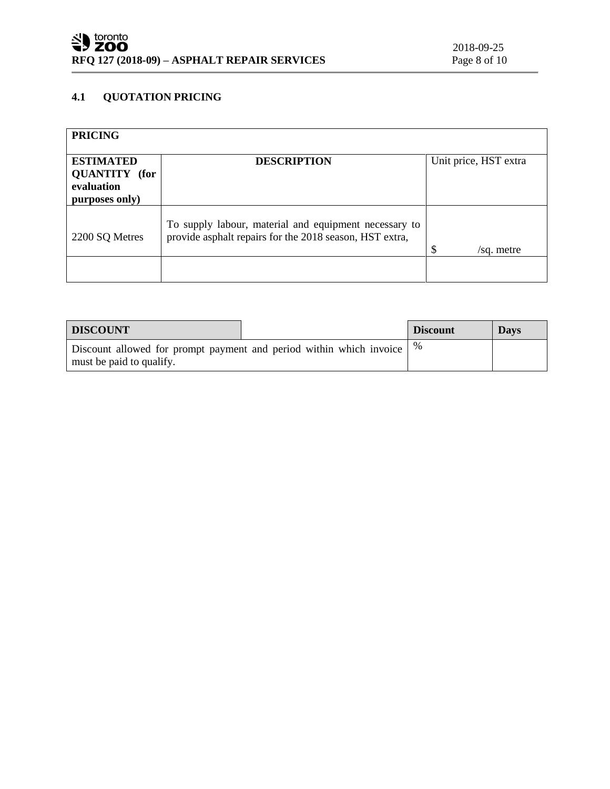# **4.1 QUOTATION PRICING**

| <b>PRICING</b>                                                           |                                                                                                                  |                       |
|--------------------------------------------------------------------------|------------------------------------------------------------------------------------------------------------------|-----------------------|
| <b>ESTIMATED</b><br><b>QUANTITY</b> (for<br>evaluation<br>purposes only) | <b>DESCRIPTION</b>                                                                                               | Unit price, HST extra |
| 2200 SQ Metres                                                           | To supply labour, material and equipment necessary to<br>provide asphalt repairs for the 2018 season, HST extra, | S<br>/sq. metre       |
|                                                                          |                                                                                                                  |                       |

| <b>DISCOUNT</b>                                                                                                            |  | <b>Discount</b> | <b>Davs</b> |
|----------------------------------------------------------------------------------------------------------------------------|--|-----------------|-------------|
| <sup>1</sup> Discount allowed for prompt payment and period within which invoice $\frac{1}{6}$<br>must be paid to qualify. |  |                 |             |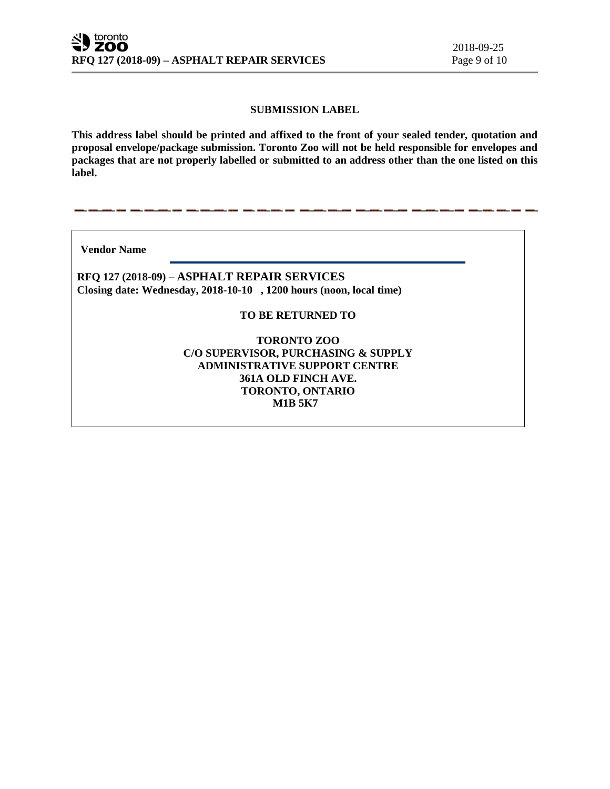# **SUBMISSION LABEL**

**This address label should be printed and affixed to the front of your sealed tender, quotation and proposal envelope/package submission. Toronto Zoo will not be held responsible for envelopes and packages that are not properly labelled or submitted to an address other than the one listed on this label.**

**Vendor Name** 

**RFQ 127 (2018-09) – ASPHALT REPAIR SERVICES Closing date: Wednesday, 2018-10-10 , 1200 hours (noon, local time)**

# **TO BE RETURNED TO**

**TORONTO ZOO C/O SUPERVISOR, PURCHASING & SUPPLY ADMINISTRATIVE SUPPORT CENTRE 361A OLD FINCH AVE. TORONTO, ONTARIO M1B 5K7**